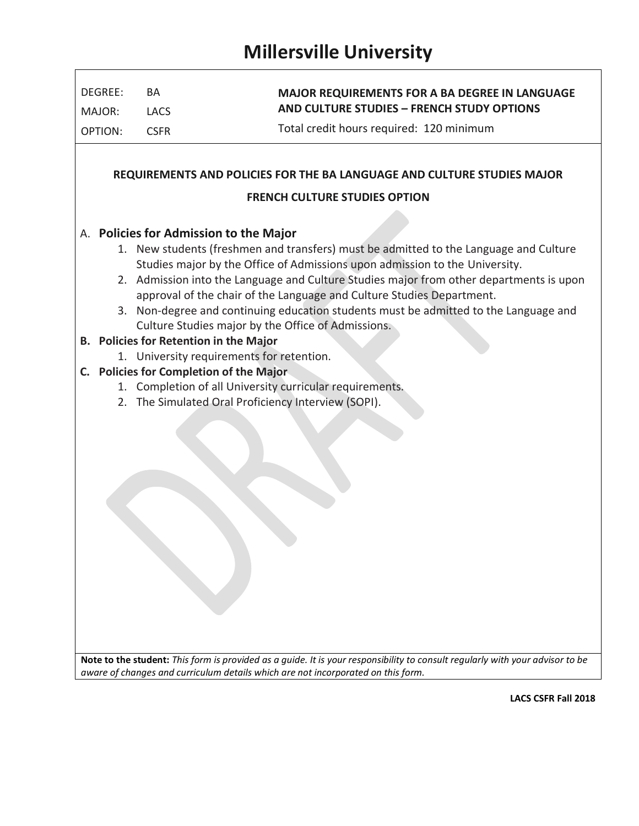|         | BA                                                                                                                                                                       | <b>MAJOR REQUIREMENTS FOR A BA DEGREE IN LANGUAGE</b>                                                                                                                                                                                                                                                                                                                                                                                                                                                                                                                                                     |  |  |  |  |
|---------|--------------------------------------------------------------------------------------------------------------------------------------------------------------------------|-----------------------------------------------------------------------------------------------------------------------------------------------------------------------------------------------------------------------------------------------------------------------------------------------------------------------------------------------------------------------------------------------------------------------------------------------------------------------------------------------------------------------------------------------------------------------------------------------------------|--|--|--|--|
| MAJOR:  | <b>LACS</b>                                                                                                                                                              | <b>AND CULTURE STUDIES - FRENCH STUDY OPTIONS</b>                                                                                                                                                                                                                                                                                                                                                                                                                                                                                                                                                         |  |  |  |  |
| OPTION: | <b>CSFR</b>                                                                                                                                                              | Total credit hours required: 120 minimum                                                                                                                                                                                                                                                                                                                                                                                                                                                                                                                                                                  |  |  |  |  |
|         |                                                                                                                                                                          | REQUIREMENTS AND POLICIES FOR THE BA LANGUAGE AND CULTURE STUDIES MAJOR                                                                                                                                                                                                                                                                                                                                                                                                                                                                                                                                   |  |  |  |  |
|         |                                                                                                                                                                          | <b>FRENCH CULTURE STUDIES OPTION</b>                                                                                                                                                                                                                                                                                                                                                                                                                                                                                                                                                                      |  |  |  |  |
|         | A. Policies for Admission to the Major<br>B. Policies for Retention in the Major<br>1. University requirements for retention.<br>C. Policies for Completion of the Major | 1. New students (freshmen and transfers) must be admitted to the Language and Culture<br>Studies major by the Office of Admissions upon admission to the University.<br>2. Admission into the Language and Culture Studies major from other departments is upon<br>approval of the chair of the Language and Culture Studies Department.<br>3. Non-degree and continuing education students must be admitted to the Language and<br>Culture Studies major by the Office of Admissions.<br>1. Completion of all University curricular requirements.<br>2. The Simulated Oral Proficiency Interview (SOPI). |  |  |  |  |

**LACS CSFR Fall 2018**